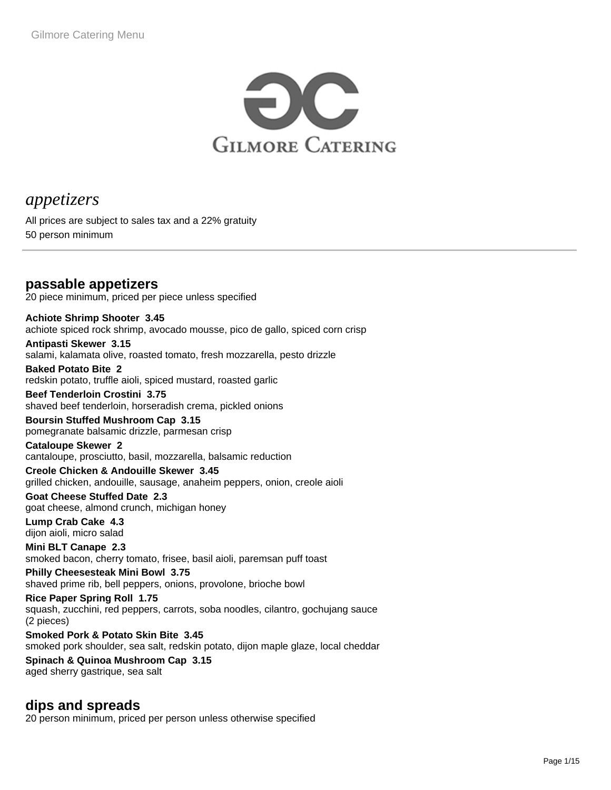

# *appetizers*

All prices are subject to sales tax and a 22% gratuity 50 person minimum

# **passable appetizers**

20 piece minimum, priced per piece unless specified

**Achiote Shrimp Shooter 3.45** achiote spiced rock shrimp, avocado mousse, pico de gallo, spiced corn crisp

**Antipasti Skewer 3.15** salami, kalamata olive, roasted tomato, fresh mozzarella, pesto drizzle

**Baked Potato Bite 2** redskin potato, truffle aioli, spiced mustard, roasted garlic

**Beef Tenderloin Crostini 3.75** shaved beef tenderloin, horseradish crema, pickled onions

**Boursin Stuffed Mushroom Cap 3.15** pomegranate balsamic drizzle, parmesan crisp

**Cataloupe Skewer 2** cantaloupe, prosciutto, basil, mozzarella, balsamic reduction

**Creole Chicken & Andouille Skewer 3.45** grilled chicken, andouille, sausage, anaheim peppers, onion, creole aioli

**Goat Cheese Stuffed Date 2.3** goat cheese, almond crunch, michigan honey

**Lump Crab Cake 4.3** dijon aioli, micro salad

**Mini BLT Canape 2.3** smoked bacon, cherry tomato, frisee, basil aioli, paremsan puff toast

**Philly Cheesesteak Mini Bowl 3.75** shaved prime rib, bell peppers, onions, provolone, brioche bowl

**Rice Paper Spring Roll 1.75** squash, zucchini, red peppers, carrots, soba noodles, cilantro, gochujang sauce (2 pieces)

**Smoked Pork & Potato Skin Bite 3.45** smoked pork shoulder, sea salt, redskin potato, dijon maple glaze, local cheddar

**Spinach & Quinoa Mushroom Cap 3.15** aged sherry gastrique, sea salt

### **dips and spreads**

20 person minimum, priced per person unless otherwise specified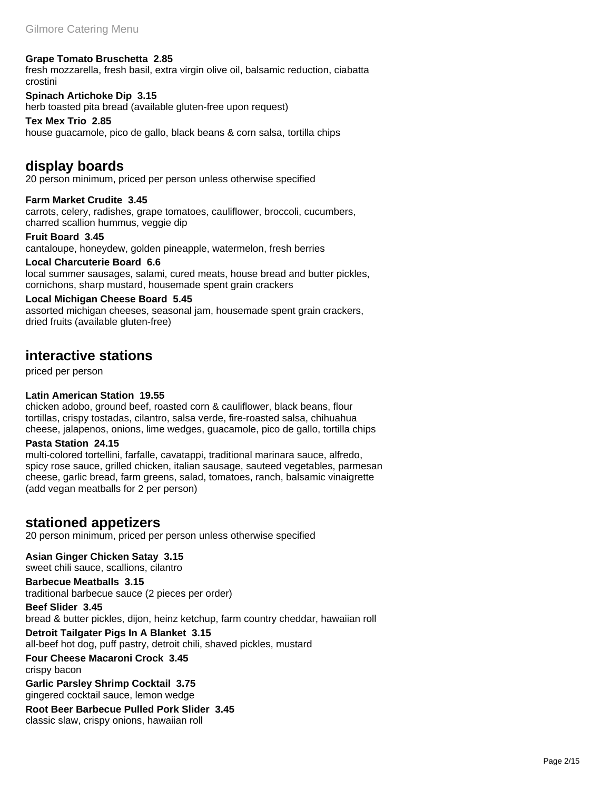### **Grape Tomato Bruschetta 2.85**

fresh mozzarella, fresh basil, extra virgin olive oil, balsamic reduction, ciabatta crostini

**Spinach Artichoke Dip 3.15** herb toasted pita bread (available gluten-free upon request)

**Tex Mex Trio 2.85** house guacamole, pico de gallo, black beans & corn salsa, tortilla chips

### **display boards**

20 person minimum, priced per person unless otherwise specified

**Farm Market Crudite 3.45** carrots, celery, radishes, grape tomatoes, cauliflower, broccoli, cucumbers, charred scallion hummus, veggie dip

**Fruit Board 3.45**

cantaloupe, honeydew, golden pineapple, watermelon, fresh berries

### **Local Charcuterie Board 6.6**

local summer sausages, salami, cured meats, house bread and butter pickles, cornichons, sharp mustard, housemade spent grain crackers

#### **Local Michigan Cheese Board 5.45**

assorted michigan cheeses, seasonal jam, housemade spent grain crackers, dried fruits (available gluten-free)

### **interactive stations**

priced per person

### **Latin American Station 19.55**

chicken adobo, ground beef, roasted corn & cauliflower, black beans, flour tortillas, crispy tostadas, cilantro, salsa verde, fire-roasted salsa, chihuahua cheese, jalapenos, onions, lime wedges, guacamole, pico de gallo, tortilla chips

#### **Pasta Station 24.15**

multi-colored tortellini, farfalle, cavatappi, traditional marinara sauce, alfredo, spicy rose sauce, grilled chicken, italian sausage, sauteed vegetables, parmesan cheese, garlic bread, farm greens, salad, tomatoes, ranch, balsamic vinaigrette (add vegan meatballs for 2 per person)

### **stationed appetizers**

20 person minimum, priced per person unless otherwise specified

**Asian Ginger Chicken Satay 3.15** sweet chili sauce, scallions, cilantro

**Barbecue Meatballs 3.15** traditional barbecue sauce (2 pieces per order)

**Beef Slider 3.45** bread & butter pickles, dijon, heinz ketchup, farm country cheddar, hawaiian roll

**Detroit Tailgater Pigs In A Blanket 3.15** all-beef hot dog, puff pastry, detroit chili, shaved pickles, mustard

**Four Cheese Macaroni Crock 3.45** crispy bacon

**Garlic Parsley Shrimp Cocktail 3.75** gingered cocktail sauce, lemon wedge

**Root Beer Barbecue Pulled Pork Slider 3.45** classic slaw, crispy onions, hawaiian roll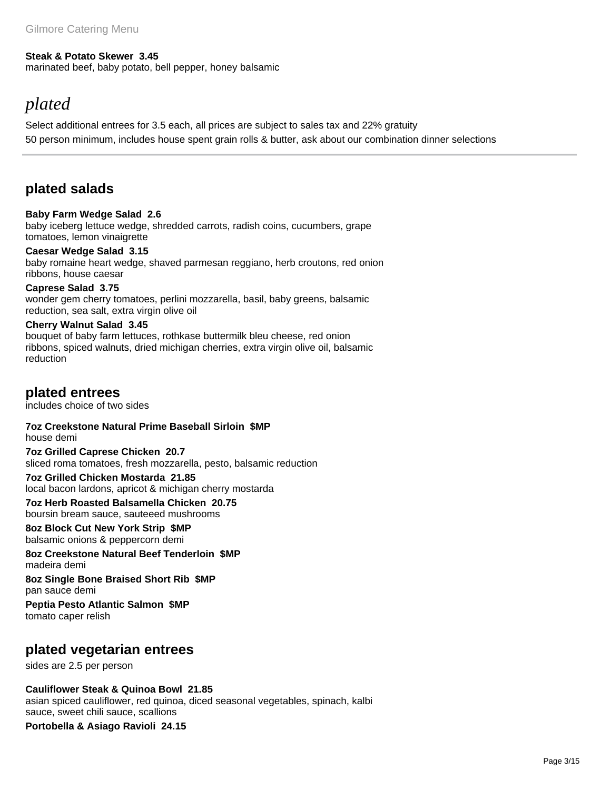#### **Steak & Potato Skewer 3.45**

marinated beef, baby potato, bell pepper, honey balsamic

# *plated*

Select additional entrees for 3.5 each, all prices are subject to sales tax and 22% gratuity 50 person minimum, includes house spent grain rolls & butter, ask about our combination dinner selections

## **plated salads**

**Baby Farm Wedge Salad 2.6** baby iceberg lettuce wedge, shredded carrots, radish coins, cucumbers, grape tomatoes, lemon vinaigrette

### **Caesar Wedge Salad 3.15**

baby romaine heart wedge, shaved parmesan reggiano, herb croutons, red onion ribbons, house caesar

**Caprese Salad 3.75** wonder gem cherry tomatoes, perlini mozzarella, basil, baby greens, balsamic reduction, sea salt, extra virgin olive oil

**Cherry Walnut Salad 3.45** bouquet of baby farm lettuces, rothkase buttermilk bleu cheese, red onion ribbons, spiced walnuts, dried michigan cherries, extra virgin olive oil, balsamic reduction

**plated entrees**

includes choice of two sides

**7oz Creekstone Natural Prime Baseball Sirloin \$MP** house demi

**7oz Grilled Caprese Chicken 20.7** sliced roma tomatoes, fresh mozzarella, pesto, balsamic reduction

**7oz Grilled Chicken Mostarda 21.85** local bacon lardons, apricot & michigan cherry mostarda

**7oz Herb Roasted Balsamella Chicken 20.75** boursin bream sauce, sauteeed mushrooms

**8oz Block Cut New York Strip \$MP** balsamic onions & peppercorn demi

**8oz Creekstone Natural Beef Tenderloin \$MP** madeira demi

**8oz Single Bone Braised Short Rib \$MP** pan sauce demi

**Peptia Pesto Atlantic Salmon \$MP** tomato caper relish

### **plated vegetarian entrees**

sides are 2.5 per person

**Cauliflower Steak & Quinoa Bowl 21.85**

asian spiced cauliflower, red quinoa, diced seasonal vegetables, spinach, kalbi sauce, sweet chili sauce, scallions **Portobella & Asiago Ravioli 24.15**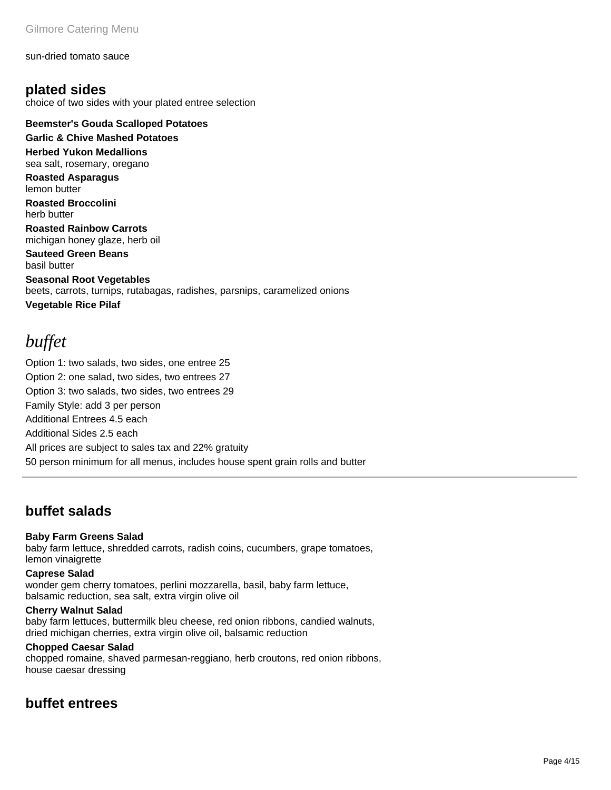#### sun-dried tomato sauce

**plated sides** choice of two sides with your plated entree selection

**Beemster's Gouda Scalloped Potatoes** 

**Garlic & Chive Mashed Potatoes Herbed Yukon Medallions** 

sea salt, rosemary, oregano **Roasted Asparagus** 

lemon butter

**Roasted Broccolini**  herb butter

**Roasted Rainbow Carrots**  michigan honey glaze, herb oil

**Sauteed Green Beans**  basil butter

**Seasonal Root Vegetables**  beets, carrots, turnips, rutabagas, radishes, parsnips, caramelized onions **Vegetable Rice Pilaf** 

# *buffet*

Option 1: two salads, two sides, one entree 25 Option 2: one salad, two sides, two entrees 27 Option 3: two salads, two sides, two entrees 29 Family Style: add 3 per person Additional Entrees 4.5 each Additional Sides 2.5 each All prices are subject to sales tax and 22% gratuity 50 person minimum for all menus, includes house spent grain rolls and butter

# **buffet salads**

### **Baby Farm Greens Salad**

baby farm lettuce, shredded carrots, radish coins, cucumbers, grape tomatoes, lemon vinaigrette

### **Caprese Salad**

wonder gem cherry tomatoes, perlini mozzarella, basil, baby farm lettuce, balsamic reduction, sea salt, extra virgin olive oil

### **Cherry Walnut Salad**

baby farm lettuces, buttermilk bleu cheese, red onion ribbons, candied walnuts, dried michigan cherries, extra virgin olive oil, balsamic reduction

#### **Chopped Caesar Salad**

chopped romaine, shaved parmesan-reggiano, herb croutons, red onion ribbons, house caesar dressing

# **buffet entrees**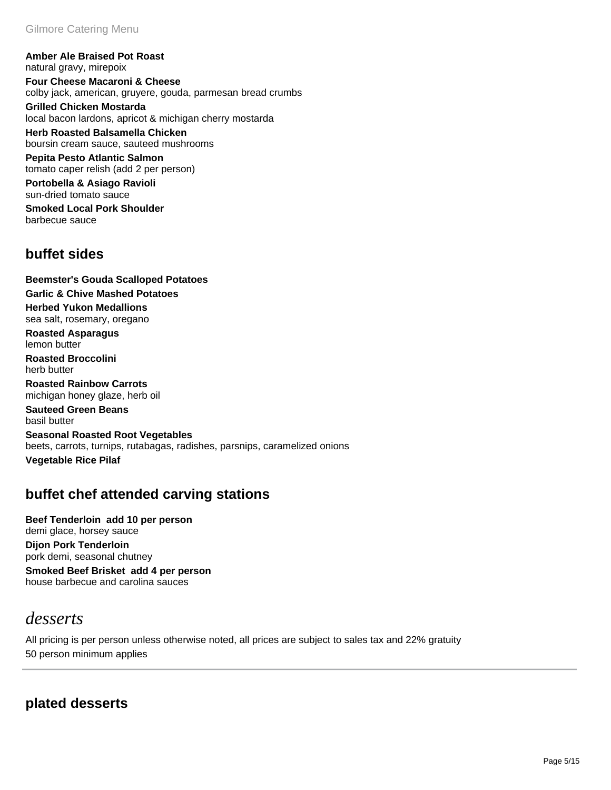**Amber Ale Braised Pot Roast**  natural gravy, mirepoix

**Four Cheese Macaroni & Cheese**  colby jack, american, gruyere, gouda, parmesan bread crumbs

**Grilled Chicken Mostarda**  local bacon lardons, apricot & michigan cherry mostarda

**Herb Roasted Balsamella Chicken**  boursin cream sauce, sauteed mushrooms

**Pepita Pesto Atlantic Salmon**  tomato caper relish (add 2 per person)

**Portobella & Asiago Ravioli**  sun-dried tomato sauce

**Smoked Local Pork Shoulder**  barbecue sauce

## **buffet sides**

**Beemster's Gouda Scalloped Potatoes Garlic & Chive Mashed Potatoes Herbed Yukon Medallions**  sea salt, rosemary, oregano **Roasted Asparagus**  lemon butter **Roasted Broccolini**  herb butter **Roasted Rainbow Carrots**  michigan honey glaze, herb oil **Sauteed Green Beans**  basil butter **Seasonal Roasted Root Vegetables**  beets, carrots, turnips, rutabagas, radishes, parsnips, caramelized onions

**Vegetable Rice Pilaf** 

# **buffet chef attended carving stations**

**Beef Tenderloin add 10 per person** demi glace, horsey sauce **Dijon Pork Tenderloin**  pork demi, seasonal chutney **Smoked Beef Brisket add 4 per person** house barbecue and carolina sauces

# *desserts*

All pricing is per person unless otherwise noted, all prices are subject to sales tax and 22% gratuity 50 person minimum applies

# **plated desserts**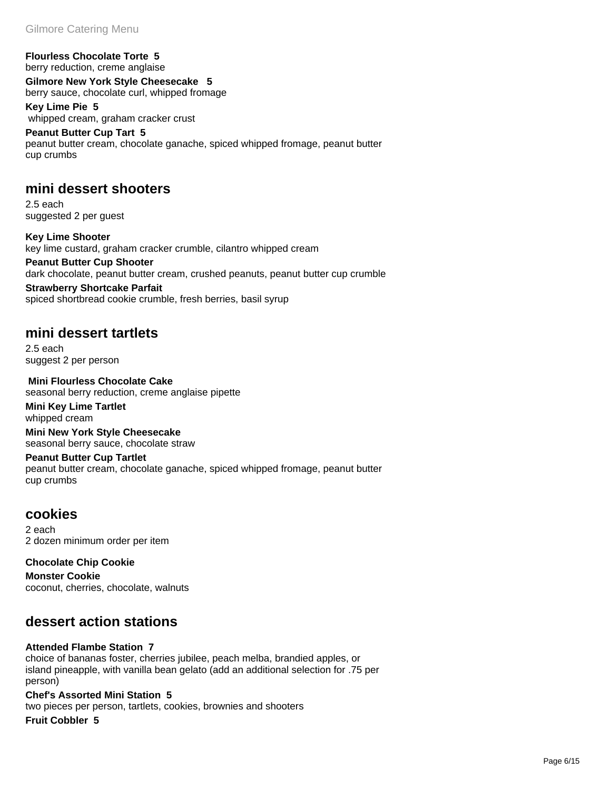### **Flourless Chocolate Torte 5**

berry reduction, creme anglaise

**Gilmore New York Style Cheesecake 5** berry sauce, chocolate curl, whipped fromage **Key Lime Pie 5**

 whipped cream, graham cracker crust **Peanut Butter Cup Tart 5** peanut butter cream, chocolate ganache, spiced whipped fromage, peanut butter cup crumbs

### **mini dessert shooters**

2.5 each suggested 2 per guest

**Key Lime Shooter**  key lime custard, graham cracker crumble, cilantro whipped cream

**Peanut Butter Cup Shooter**  dark chocolate, peanut butter cream, crushed peanuts, peanut butter cup crumble

**Strawberry Shortcake Parfait**  spiced shortbread cookie crumble, fresh berries, basil syrup

## **mini dessert tartlets**

2.5 each suggest 2 per person

 **Mini Flourless Chocolate Cake**  seasonal berry reduction, creme anglaise pipette

**Mini Key Lime Tartlet**  whipped cream

**Mini New York Style Cheesecake**  seasonal berry sauce, chocolate straw

### **Peanut Butter Cup Tartlet**

peanut butter cream, chocolate ganache, spiced whipped fromage, peanut butter cup crumbs

### **cookies**

2 each 2 dozen minimum order per item

**Chocolate Chip Cookie** 

**Monster Cookie**  coconut, cherries, chocolate, walnuts

## **dessert action stations**

### **Attended Flambe Station 7**

choice of bananas foster, cherries jubilee, peach melba, brandied apples, or island pineapple, with vanilla bean gelato (add an additional selection for .75 per person)

### **Chef's Assorted Mini Station 5**

two pieces per person, tartlets, cookies, brownies and shooters

**Fruit Cobbler 5**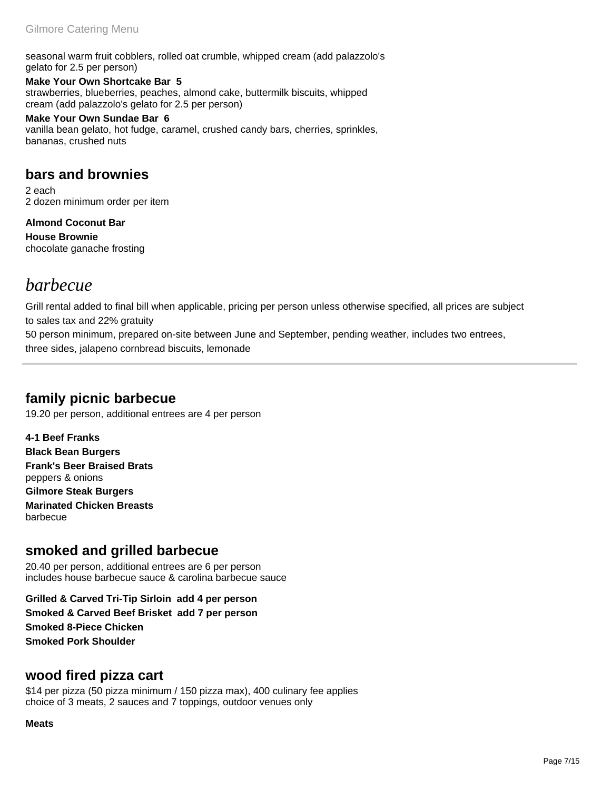seasonal warm fruit cobblers, rolled oat crumble, whipped cream (add palazzolo's gelato for 2.5 per person)

**Make Your Own Shortcake Bar 5** strawberries, blueberries, peaches, almond cake, buttermilk biscuits, whipped cream (add palazzolo's gelato for 2.5 per person)

**Make Your Own Sundae Bar 6** vanilla bean gelato, hot fudge, caramel, crushed candy bars, cherries, sprinkles, bananas, crushed nuts

# **bars and brownies**

2 each 2 dozen minimum order per item

**Almond Coconut Bar House Brownie**  chocolate ganache frosting

# *barbecue*

Grill rental added to final bill when applicable, pricing per person unless otherwise specified, all prices are subject to sales tax and 22% gratuity

50 person minimum, prepared on-site between June and September, pending weather, includes two entrees, three sides, jalapeno cornbread biscuits, lemonade

# **family picnic barbecue**

19.20 per person, additional entrees are 4 per person

**4-1 Beef Franks Black Bean Burgers Frank's Beer Braised Brats**  peppers & onions

**Gilmore Steak Burgers Marinated Chicken Breasts**  barbecue

# **smoked and grilled barbecue**

20.40 per person, additional entrees are 6 per person includes house barbecue sauce & carolina barbecue sauce

**Grilled & Carved Tri-Tip Sirloin add 4 per person Smoked & Carved Beef Brisket add 7 per person Smoked 8-Piece Chicken Smoked Pork Shoulder** 

### **wood fired pizza cart**

\$14 per pizza (50 pizza minimum / 150 pizza max), 400 culinary fee applies choice of 3 meats, 2 sauces and 7 toppings, outdoor venues only

### **Meats**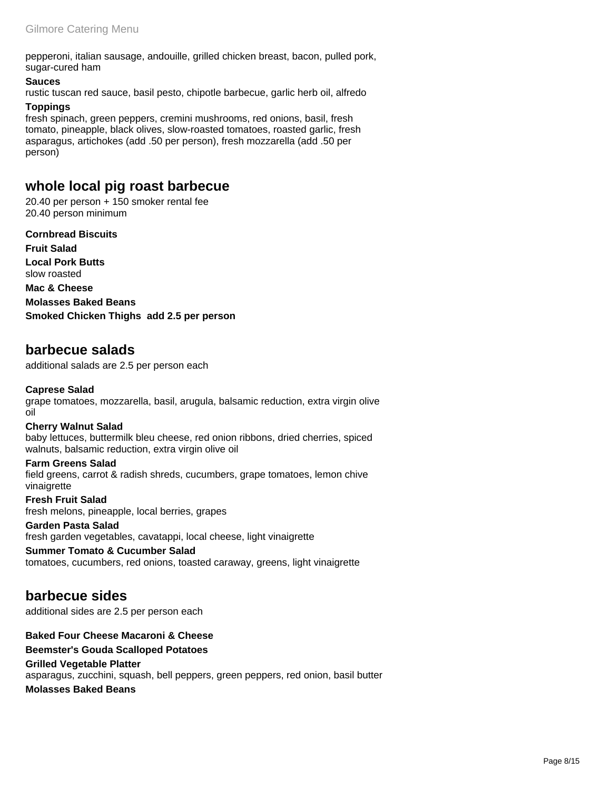pepperoni, italian sausage, andouille, grilled chicken breast, bacon, pulled pork, sugar-cured ham

#### **Sauces**

rustic tuscan red sauce, basil pesto, chipotle barbecue, garlic herb oil, alfredo

### **Toppings**

fresh spinach, green peppers, cremini mushrooms, red onions, basil, fresh tomato, pineapple, black olives, slow-roasted tomatoes, roasted garlic, fresh asparagus, artichokes (add .50 per person), fresh mozzarella (add .50 per person)

# **whole local pig roast barbecue**

20.40 per person + 150 smoker rental fee 20.40 person minimum

**Cornbread Biscuits Fruit Salad Local Pork Butts**  slow roasted **Mac & Cheese Molasses Baked Beans Smoked Chicken Thighs add 2.5 per person**

### **barbecue salads**

additional salads are 2.5 per person each

### **Caprese Salad**

grape tomatoes, mozzarella, basil, arugula, balsamic reduction, extra virgin olive oil

### **Cherry Walnut Salad**

baby lettuces, buttermilk bleu cheese, red onion ribbons, dried cherries, spiced walnuts, balsamic reduction, extra virgin olive oil

#### **Farm Greens Salad**

field greens, carrot & radish shreds, cucumbers, grape tomatoes, lemon chive vinaigrette

**Fresh Fruit Salad**  fresh melons, pineapple, local berries, grapes

#### **Garden Pasta Salad**  fresh garden vegetables, cavatappi, local cheese, light vinaigrette

**Summer Tomato & Cucumber Salad**  tomatoes, cucumbers, red onions, toasted caraway, greens, light vinaigrette

### **barbecue sides**

additional sides are 2.5 per person each

### **Baked Four Cheese Macaroni & Cheese**

### **Beemster's Gouda Scalloped Potatoes**

**Grilled Vegetable Platter**  asparagus, zucchini, squash, bell peppers, green peppers, red onion, basil butter **Molasses Baked Beans** 

Page 8/15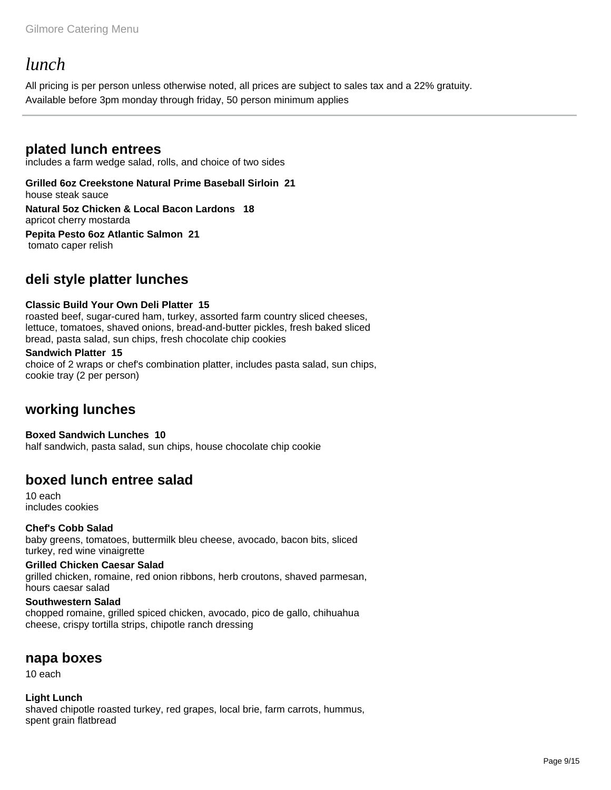# *lunch*

All pricing is per person unless otherwise noted, all prices are subject to sales tax and a 22% gratuity. Available before 3pm monday through friday, 50 person minimum applies

### **plated lunch entrees**

includes a farm wedge salad, rolls, and choice of two sides

### **Grilled 6oz Creekstone Natural Prime Baseball Sirloin 21** house steak sauce

**Natural 5oz Chicken & Local Bacon Lardons 18** apricot cherry mostarda

**Pepita Pesto 6oz Atlantic Salmon 21** tomato caper relish

# **deli style platter lunches**

### **Classic Build Your Own Deli Platter 15**

roasted beef, sugar-cured ham, turkey, assorted farm country sliced cheeses, lettuce, tomatoes, shaved onions, bread-and-butter pickles, fresh baked sliced bread, pasta salad, sun chips, fresh chocolate chip cookies

### **Sandwich Platter 15**

choice of 2 wraps or chef's combination platter, includes pasta salad, sun chips, cookie tray (2 per person)

### **working lunches**

**Boxed Sandwich Lunches 10** half sandwich, pasta salad, sun chips, house chocolate chip cookie

# **boxed lunch entree salad**

10 each includes cookies

**Chef's Cobb Salad**  baby greens, tomatoes, buttermilk bleu cheese, avocado, bacon bits, sliced turkey, red wine vinaigrette

### **Grilled Chicken Caesar Salad**

grilled chicken, romaine, red onion ribbons, herb croutons, shaved parmesan, hours caesar salad

### **Southwestern Salad**

chopped romaine, grilled spiced chicken, avocado, pico de gallo, chihuahua cheese, crispy tortilla strips, chipotle ranch dressing

### **napa boxes**

10 each

**Light Lunch**  shaved chipotle roasted turkey, red grapes, local brie, farm carrots, hummus, spent grain flatbread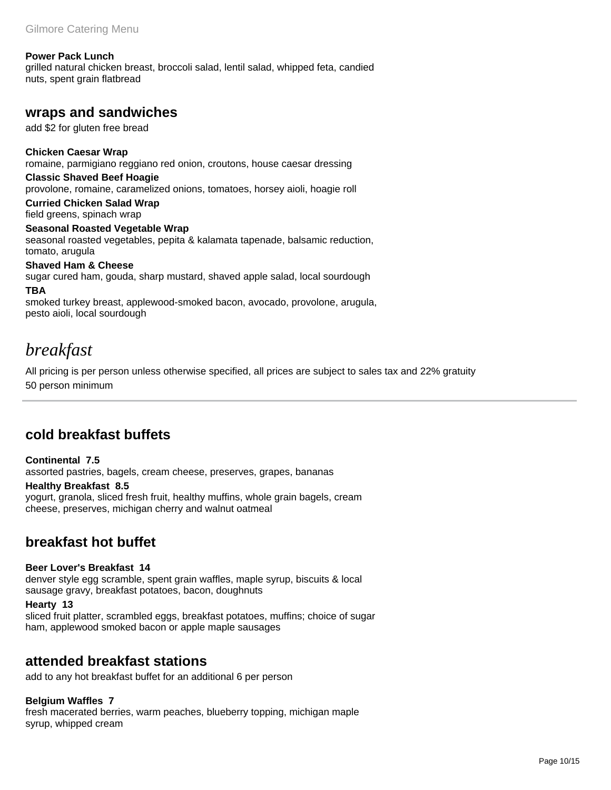#### **Power Pack Lunch**

grilled natural chicken breast, broccoli salad, lentil salad, whipped feta, candied nuts, spent grain flatbread

### **wraps and sandwiches**

add \$2 for gluten free bread

**Chicken Caesar Wrap**  romaine, parmigiano reggiano red onion, croutons, house caesar dressing **Classic Shaved Beef Hoagie** 

provolone, romaine, caramelized onions, tomatoes, horsey aioli, hoagie roll

#### **Curried Chicken Salad Wrap**  field greens, spinach wrap

#### **Seasonal Roasted Vegetable Wrap**

seasonal roasted vegetables, pepita & kalamata tapenade, balsamic reduction, tomato, arugula

**Shaved Ham & Cheese** 

sugar cured ham, gouda, sharp mustard, shaved apple salad, local sourdough

### **TBA**

smoked turkey breast, applewood-smoked bacon, avocado, provolone, arugula, pesto aioli, local sourdough

# *breakfast*

All pricing is per person unless otherwise specified, all prices are subject to sales tax and 22% gratuity 50 person minimum

# **cold breakfast buffets**

### **Continental 7.5** assorted pastries, bagels, cream cheese, preserves, grapes, bananas

#### **Healthy Breakfast 8.5**

yogurt, granola, sliced fresh fruit, healthy muffins, whole grain bagels, cream cheese, preserves, michigan cherry and walnut oatmeal

# **breakfast hot buffet**

### **Beer Lover's Breakfast 14**

denver style egg scramble, spent grain waffles, maple syrup, biscuits & local sausage gravy, breakfast potatoes, bacon, doughnuts

#### **Hearty 13**

sliced fruit platter, scrambled eggs, breakfast potatoes, muffins; choice of sugar ham, applewood smoked bacon or apple maple sausages

### **attended breakfast stations**

add to any hot breakfast buffet for an additional 6 per person

### **Belgium Waffles 7**

fresh macerated berries, warm peaches, blueberry topping, michigan maple syrup, whipped cream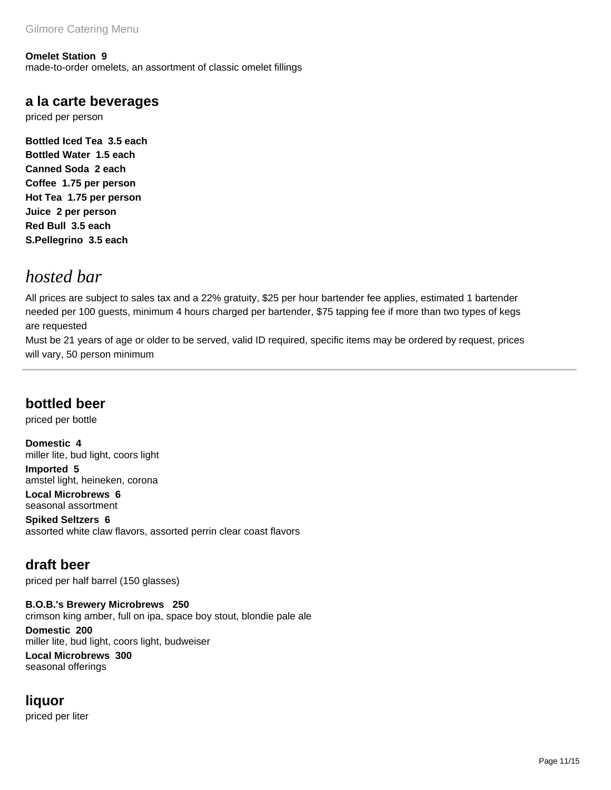**Omelet Station 9** made-to-order omelets, an assortment of classic omelet fillings

### **a la carte beverages**

priced per person

**Bottled Iced Tea 3.5 each Bottled Water 1.5 each Canned Soda 2 each Coffee 1.75 per person Hot Tea 1.75 per person Juice 2 per person Red Bull 3.5 each S.Pellegrino 3.5 each**

# *hosted bar*

All prices are subject to sales tax and a 22% gratuity, \$25 per hour bartender fee applies, estimated 1 bartender needed per 100 guests, minimum 4 hours charged per bartender, \$75 tapping fee if more than two types of kegs are requested

Must be 21 years of age or older to be served, valid ID required, specific items may be ordered by request, prices will vary, 50 person minimum

# **bottled beer**

priced per bottle

**Domestic 4** miller lite, bud light, coors light **Imported 5** amstel light, heineken, corona **Local Microbrews 6** seasonal assortment

**Spiked Seltzers 6** assorted white claw flavors, assorted perrin clear coast flavors

# **draft beer**

priced per half barrel (150 glasses)

**B.O.B.'s Brewery Microbrews 250** crimson king amber, full on ipa, space boy stout, blondie pale ale

**Domestic 200** miller lite, bud light, coors light, budweiser

**Local Microbrews 300** seasonal offerings

# **liquor**

priced per liter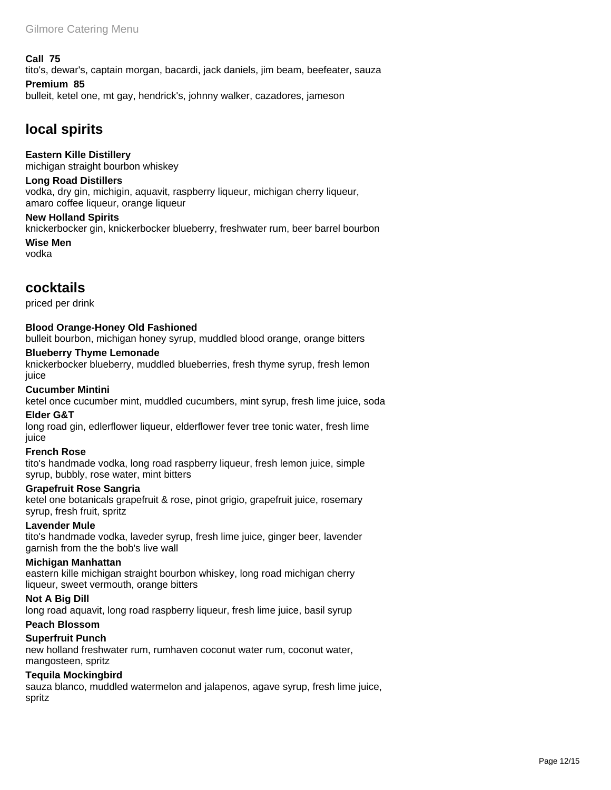#### **Call 75**

tito's, dewar's, captain morgan, bacardi, jack daniels, jim beam, beefeater, sauza

### **Premium 85**

bulleit, ketel one, mt gay, hendrick's, johnny walker, cazadores, jameson

## **local spirits**

#### **Eastern Kille Distillery**

michigan straight bourbon whiskey

### **Long Road Distillers**

vodka, dry gin, michigin, aquavit, raspberry liqueur, michigan cherry liqueur, amaro coffee liqueur, orange liqueur

#### **New Holland Spirits**

knickerbocker gin, knickerbocker blueberry, freshwater rum, beer barrel bourbon

**Wise Men**  vodka

### **cocktails**

priced per drink

### **Blood Orange-Honey Old Fashioned**

bulleit bourbon, michigan honey syrup, muddled blood orange, orange bitters

#### **Blueberry Thyme Lemonade**

knickerbocker blueberry, muddled blueberries, fresh thyme syrup, fresh lemon juice

### **Cucumber Mintini**

ketel once cucumber mint, muddled cucumbers, mint syrup, fresh lime juice, soda

### **Elder G&T**

long road gin, edlerflower liqueur, elderflower fever tree tonic water, fresh lime juice

### **French Rose**

tito's handmade vodka, long road raspberry liqueur, fresh lemon juice, simple syrup, bubbly, rose water, mint bitters

#### **Grapefruit Rose Sangria**

ketel one botanicals grapefruit & rose, pinot grigio, grapefruit juice, rosemary syrup, fresh fruit, spritz

#### **Lavender Mule**

tito's handmade vodka, laveder syrup, fresh lime juice, ginger beer, lavender garnish from the the bob's live wall

#### **Michigan Manhattan**

eastern kille michigan straight bourbon whiskey, long road michigan cherry liqueur, sweet vermouth, orange bitters

### **Not A Big Dill**

long road aquavit, long road raspberry liqueur, fresh lime juice, basil syrup

### **Peach Blossom**

### **Superfruit Punch**

new holland freshwater rum, rumhaven coconut water rum, coconut water, mangosteen, spritz

### **Tequila Mockingbird**

sauza blanco, muddled watermelon and jalapenos, agave syrup, fresh lime juice, spritz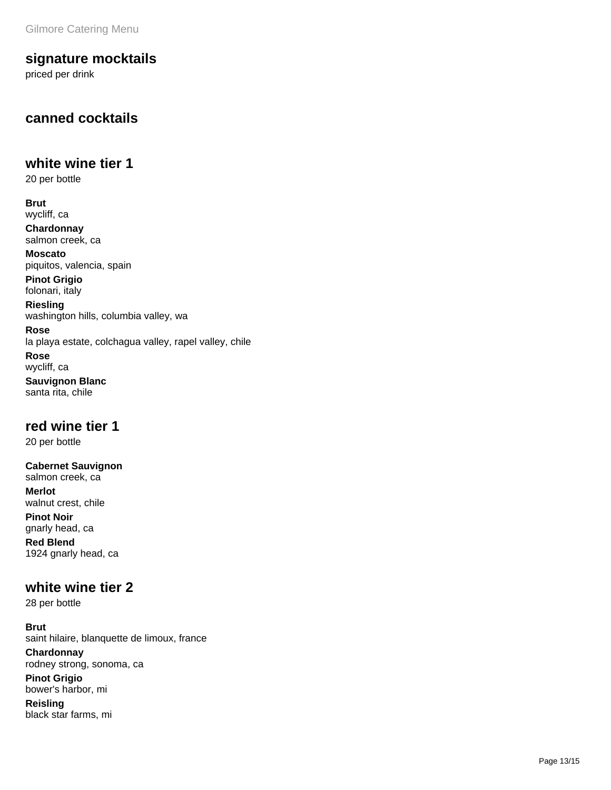### **signature mocktails**

priced per drink

# **canned cocktails**

### **white wine tier 1**

20 per bottle

**Brut**  wycliff, ca

**Chardonnay**  salmon creek, ca

**Moscato**  piquitos, valencia, spain **Pinot Grigio** 

folonari, italy

**Riesling**  washington hills, columbia valley, wa

**Rose**  la playa estate, colchagua valley, rapel valley, chile

**Rose**  wycliff, ca

**Sauvignon Blanc**  santa rita, chile

### **red wine tier 1**

20 per bottle

**Cabernet Sauvignon**  salmon creek, ca **Merlot**  walnut crest, chile

**Pinot Noir**  gnarly head, ca

**Red Blend**  1924 gnarly head, ca

### **white wine tier 2**

28 per bottle

**Brut**  saint hilaire, blanquette de limoux, france

**Chardonnay**  rodney strong, sonoma, ca

**Pinot Grigio**  bower's harbor, mi

**Reisling**  black star farms, mi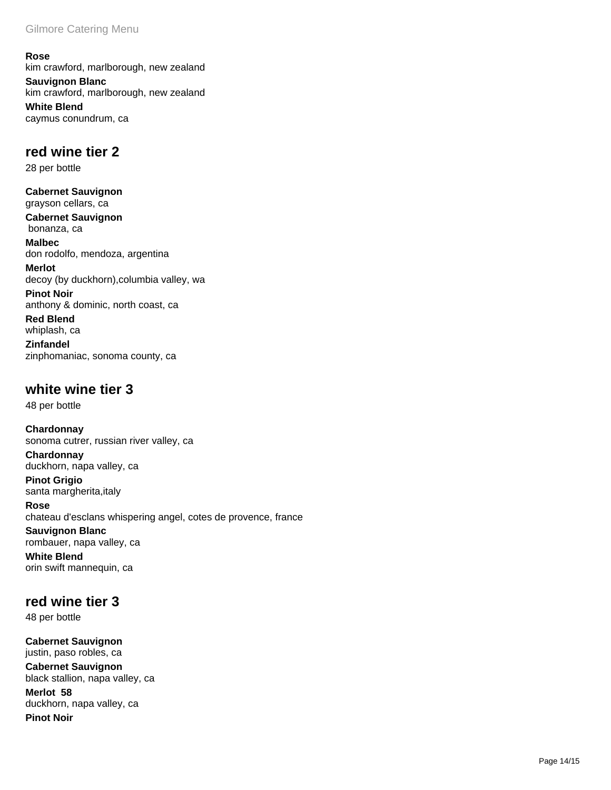**Rose**  kim crawford, marlborough, new zealand **Sauvignon Blanc**  kim crawford, marlborough, new zealand **White Blend**  caymus conundrum, ca

## **red wine tier 2**

28 per bottle

**Cabernet Sauvignon**  grayson cellars, ca

**Cabernet Sauvignon**  bonanza, ca

**Malbec**  don rodolfo, mendoza, argentina

**Merlot**  decoy (by duckhorn),columbia valley, wa

**Pinot Noir**  anthony & dominic, north coast, ca

**Red Blend**  whiplash, ca

**Zinfandel**  zinphomaniac, sonoma county, ca

## **white wine tier 3**

48 per bottle

**Chardonnay**  sonoma cutrer, russian river valley, ca

**Chardonnay**  duckhorn, napa valley, ca

**Pinot Grigio**  santa margherita, italy

**Rose** 

chateau d'esclans whispering angel, cotes de provence, france

### **Sauvignon Blanc**

rombauer, napa valley, ca

**White Blend**  orin swift mannequin, ca

# **red wine tier 3**

48 per bottle

**Cabernet Sauvignon**  justin, paso robles, ca **Cabernet Sauvignon**  black stallion, napa valley, ca **Merlot 58**

duckhorn, napa valley, ca **Pinot Noir**